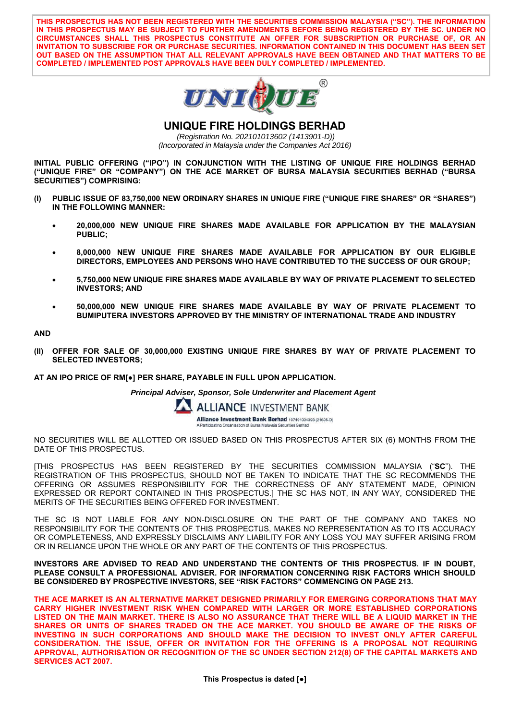**THIS PROSPECTUS HAS NOT BEEN REGISTERED WITH THE SECURITIES COMMISSION MALAYSIA ("SC"). THE INFORMATION IN THIS PROSPECTUS MAY BE SUBJECT TO FURTHER AMENDMENTS BEFORE BEING REGISTERED BY THE SC. UNDER NO CIRCUMSTANCES SHALL THIS PROSPECTUS CONSTITUTE AN OFFER FOR SUBSCRIPTION OR PURCHASE OF, OR AN INVITATION TO SUBSCRIBE FOR OR PURCHASE SECURITIES. INFORMATION CONTAINED IN THIS DOCUMENT HAS BEEN SET OUT BASED ON THE ASSUMPTION THAT ALL RELEVANT APPROVALS HAVE BEEN OBTAINED AND THAT MATTERS TO BE COMPLETED / IMPLEMENTED POST APPROVALS HAVE BEEN DULY COMPLETED / IMPLEMENTED.**



**UNIQUE FIRE HOLDINGS BERHAD** 

 *(Registration No. 202101013602 (1413901-D)) (Incorporated in Malaysia under the Companies Act 2016)*

**INITIAL PUBLIC OFFERING ("IPO") IN CONJUNCTION WITH THE LISTING OF UNIQUE FIRE HOLDINGS BERHAD ("UNIQUE FIRE" OR "COMPANY") ON THE ACE MARKET OF BURSA MALAYSIA SECURITIES BERHAD ("BURSA SECURITIES") COMPRISING:** 

- **(I) PUBLIC ISSUE OF 83,750,000 NEW ORDINARY SHARES IN UNIQUE FIRE ("UNIQUE FIRE SHARES" OR "SHARES") IN THE FOLLOWING MANNER:** 
	- **20,000,000 NEW UNIQUE FIRE SHARES MADE AVAILABLE FOR APPLICATION BY THE MALAYSIAN PUBLIC;**
	- **8,000,000 NEW UNIQUE FIRE SHARES MADE AVAILABLE FOR APPLICATION BY OUR ELIGIBLE DIRECTORS, EMPLOYEES AND PERSONS WHO HAVE CONTRIBUTED TO THE SUCCESS OF OUR GROUP;**
	- **5,750,000 NEW UNIQUE FIRE SHARES MADE AVAILABLE BY WAY OF PRIVATE PLACEMENT TO SELECTED INVESTORS; AND**
	- **50,000,000 NEW UNIQUE FIRE SHARES MADE AVAILABLE BY WAY OF PRIVATE PLACEMENT TO BUMIPUTERA INVESTORS APPROVED BY THE MINISTRY OF INTERNATIONAL TRADE AND INDUSTRY**

**AND** 

**(II) OFFER FOR SALE OF 30,000,000 EXISTING UNIQUE FIRE SHARES BY WAY OF PRIVATE PLACEMENT TO SELECTED INVESTORS;** 

**AT AN IPO PRICE OF RM[●] PER SHARE, PAYABLE IN FULL UPON APPLICATION.** 

*Principal Adviser, Sponsor, Sole Underwriter and Placement Agent*

**ALLIANCE INVESTMENT BANK** 

Alliance Investment Bank Berhad 197401004393 (21605-D)

NO SECURITIES WILL BE ALLOTTED OR ISSUED BASED ON THIS PROSPECTUS AFTER SIX (6) MONTHS FROM THE DATE OF THIS PROSPECTUS.

[THIS PROSPECTUS HAS BEEN REGISTERED BY THE SECURITIES COMMISSION MALAYSIA ("**SC**"). THE REGISTRATION OF THIS PROSPECTUS, SHOULD NOT BE TAKEN TO INDICATE THAT THE SC RECOMMENDS THE OFFERING OR ASSUMES RESPONSIBILITY FOR THE CORRECTNESS OF ANY STATEMENT MADE, OPINION EXPRESSED OR REPORT CONTAINED IN THIS PROSPECTUS.] THE SC HAS NOT, IN ANY WAY, CONSIDERED THE MERITS OF THE SECURITIES BEING OFFERED FOR INVESTMENT.

THE SC IS NOT LIABLE FOR ANY NON-DISCLOSURE ON THE PART OF THE COMPANY AND TAKES NO RESPONSIBILITY FOR THE CONTENTS OF THIS PROSPECTUS, MAKES NO REPRESENTATION AS TO ITS ACCURACY OR COMPLETENESS, AND EXPRESSLY DISCLAIMS ANY LIABILITY FOR ANY LOSS YOU MAY SUFFER ARISING FROM OR IN RELIANCE UPON THE WHOLE OR ANY PART OF THE CONTENTS OF THIS PROSPECTUS.

**INVESTORS ARE ADVISED TO READ AND UNDERSTAND THE CONTENTS OF THIS PROSPECTUS. IF IN DOUBT, PLEASE CONSULT A PROFESSIONAL ADVISER. FOR INFORMATION CONCERNING RISK FACTORS WHICH SHOULD BE CONSIDERED BY PROSPECTIVE INVESTORS, SEE "RISK FACTORS" COMMENCING ON PAGE 213.** 

**THE ACE MARKET IS AN ALTERNATIVE MARKET DESIGNED PRIMARILY FOR EMERGING CORPORATIONS THAT MAY CARRY HIGHER INVESTMENT RISK WHEN COMPARED WITH LARGER OR MORE ESTABLISHED CORPORATIONS LISTED ON THE MAIN MARKET. THERE IS ALSO NO ASSURANCE THAT THERE WILL BE A LIQUID MARKET IN THE SHARES OR UNITS OF SHARES TRADED ON THE ACE MARKET. YOU SHOULD BE AWARE OF THE RISKS OF INVESTING IN SUCH CORPORATIONS AND SHOULD MAKE THE DECISION TO INVEST ONLY AFTER CAREFUL CONSIDERATION. THE ISSUE, OFFER OR INVITATION FOR THE OFFERING IS A PROPOSAL NOT REQUIRING APPROVAL, AUTHORISATION OR RECOGNITION OF THE SC UNDER SECTION 212(8) OF THE CAPITAL MARKETS AND SERVICES ACT 2007.**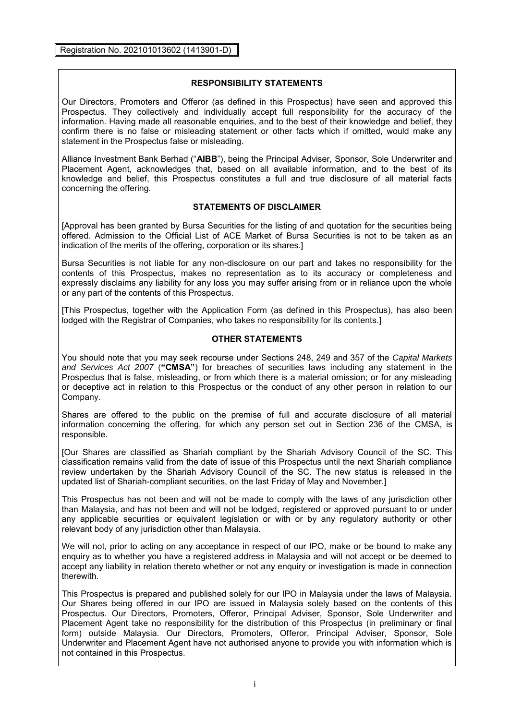### **RESPONSIBILITY STATEMENTS**

Our Directors, Promoters and Offeror (as defined in this Prospectus) have seen and approved this Prospectus. They collectively and individually accept full responsibility for the accuracy of the information. Having made all reasonable enquiries, and to the best of their knowledge and belief, they confirm there is no false or misleading statement or other facts which if omitted, would make any statement in the Prospectus false or misleading.

Alliance Investment Bank Berhad ("**AIBB**"), being the Principal Adviser, Sponsor, Sole Underwriter and Placement Agent, acknowledges that, based on all available information, and to the best of its knowledge and belief, this Prospectus constitutes a full and true disclosure of all material facts concerning the offering.

### **STATEMENTS OF DISCLAIMER**

[Approval has been granted by Bursa Securities for the listing of and quotation for the securities being offered. Admission to the Official List of ACE Market of Bursa Securities is not to be taken as an indication of the merits of the offering, corporation or its shares.]

Bursa Securities is not liable for any non-disclosure on our part and takes no responsibility for the contents of this Prospectus, makes no representation as to its accuracy or completeness and expressly disclaims any liability for any loss you may suffer arising from or in reliance upon the whole or any part of the contents of this Prospectus.

[This Prospectus, together with the Application Form (as defined in this Prospectus), has also been lodged with the Registrar of Companies, who takes no responsibility for its contents.]

### **OTHER STATEMENTS**

You should note that you may seek recourse under Sections 248, 249 and 357 of the *Capital Markets and Services Act 2007* (**"CMSA"**) for breaches of securities laws including any statement in the Prospectus that is false, misleading, or from which there is a material omission; or for any misleading or deceptive act in relation to this Prospectus or the conduct of any other person in relation to our Company.

Shares are offered to the public on the premise of full and accurate disclosure of all material information concerning the offering, for which any person set out in Section 236 of the CMSA, is responsible.

[Our Shares are classified as Shariah compliant by the Shariah Advisory Council of the SC. This classification remains valid from the date of issue of this Prospectus until the next Shariah compliance review undertaken by the Shariah Advisory Council of the SC. The new status is released in the updated list of Shariah-compliant securities, on the last Friday of May and November.]

This Prospectus has not been and will not be made to comply with the laws of any jurisdiction other than Malaysia, and has not been and will not be lodged, registered or approved pursuant to or under any applicable securities or equivalent legislation or with or by any regulatory authority or other relevant body of any jurisdiction other than Malaysia.

We will not, prior to acting on any acceptance in respect of our IPO, make or be bound to make any enquiry as to whether you have a registered address in Malaysia and will not accept or be deemed to accept any liability in relation thereto whether or not any enquiry or investigation is made in connection therewith.

This Prospectus is prepared and published solely for our IPO in Malaysia under the laws of Malaysia. Our Shares being offered in our IPO are issued in Malaysia solely based on the contents of this Prospectus. Our Directors, Promoters, Offeror, Principal Adviser, Sponsor, Sole Underwriter and Placement Agent take no responsibility for the distribution of this Prospectus (in preliminary or final form) outside Malaysia. Our Directors, Promoters, Offeror, Principal Adviser, Sponsor, Sole Underwriter and Placement Agent have not authorised anyone to provide you with information which is not contained in this Prospectus.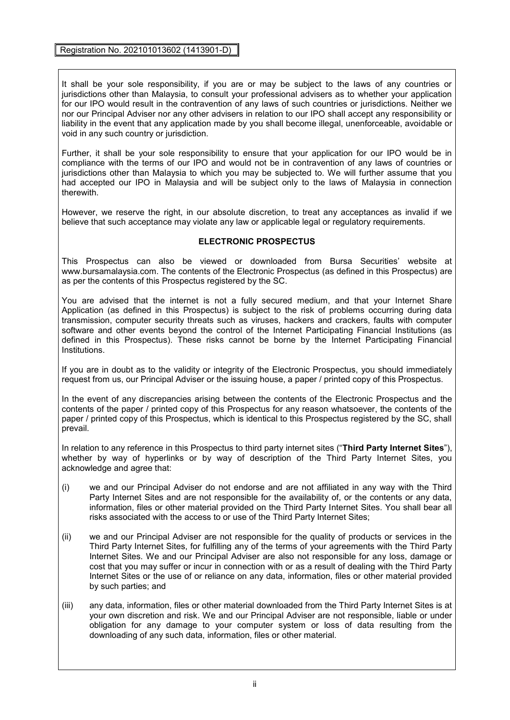It shall be your sole responsibility, if you are or may be subject to the laws of any countries or jurisdictions other than Malaysia, to consult your professional advisers as to whether your application for our IPO would result in the contravention of any laws of such countries or jurisdictions. Neither we nor our Principal Adviser nor any other advisers in relation to our IPO shall accept any responsibility or liability in the event that any application made by you shall become illegal, unenforceable, avoidable or void in any such country or jurisdiction.

Further, it shall be your sole responsibility to ensure that your application for our IPO would be in compliance with the terms of our IPO and would not be in contravention of any laws of countries or jurisdictions other than Malaysia to which you may be subjected to. We will further assume that you had accepted our IPO in Malaysia and will be subject only to the laws of Malaysia in connection therewith.

However, we reserve the right, in our absolute discretion, to treat any acceptances as invalid if we believe that such acceptance may violate any law or applicable legal or regulatory requirements.

### **ELECTRONIC PROSPECTUS**

This Prospectus can also be viewed or downloaded from Bursa Securities' website at [www.bursamalaysia.com.](http://www.bursamalaysia.com/) The contents of the Electronic Prospectus (as defined in this Prospectus) are as per the contents of this Prospectus registered by the SC.

You are advised that the internet is not a fully secured medium, and that your Internet Share Application (as defined in this Prospectus) is subject to the risk of problems occurring during data transmission, computer security threats such as viruses, hackers and crackers, faults with computer software and other events beyond the control of the Internet Participating Financial Institutions (as defined in this Prospectus). These risks cannot be borne by the Internet Participating Financial Institutions.

If you are in doubt as to the validity or integrity of the Electronic Prospectus, you should immediately request from us, our Principal Adviser or the issuing house, a paper / printed copy of this Prospectus.

In the event of any discrepancies arising between the contents of the Electronic Prospectus and the contents of the paper / printed copy of this Prospectus for any reason whatsoever, the contents of the paper / printed copy of this Prospectus, which is identical to this Prospectus registered by the SC, shall prevail.

In relation to any reference in this Prospectus to third party internet sites ("**Third Party Internet Sites**"), whether by way of hyperlinks or by way of description of the Third Party Internet Sites, you acknowledge and agree that:

- (i) we and our Principal Adviser do not endorse and are not affiliated in any way with the Third Party Internet Sites and are not responsible for the availability of, or the contents or any data, information, files or other material provided on the Third Party Internet Sites. You shall bear all risks associated with the access to or use of the Third Party Internet Sites;
- (ii) we and our Principal Adviser are not responsible for the quality of products or services in the Third Party Internet Sites, for fulfilling any of the terms of your agreements with the Third Party Internet Sites. We and our Principal Adviser are also not responsible for any loss, damage or cost that you may suffer or incur in connection with or as a result of dealing with the Third Party Internet Sites or the use of or reliance on any data, information, files or other material provided by such parties; and
- (iii) any data, information, files or other material downloaded from the Third Party Internet Sites is at your own discretion and risk. We and our Principal Adviser are not responsible, liable or under obligation for any damage to your computer system or loss of data resulting from the downloading of any such data, information, files or other material.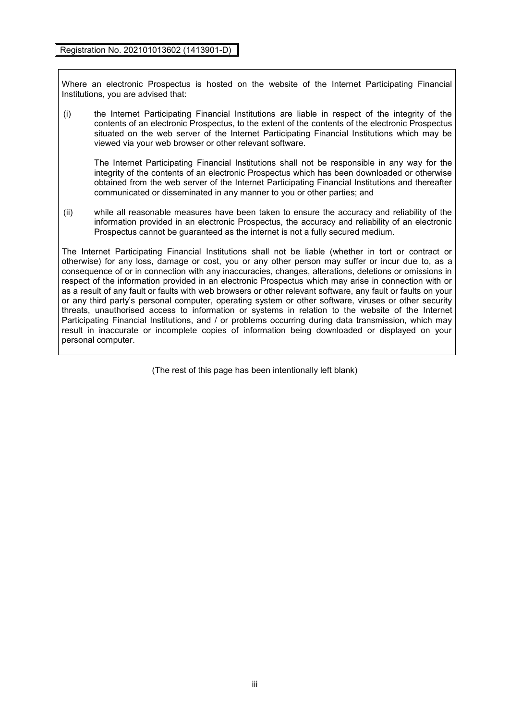Where an electronic Prospectus is hosted on the website of the Internet Participating Financial Institutions, you are advised that:

(i) the Internet Participating Financial Institutions are liable in respect of the integrity of the contents of an electronic Prospectus, to the extent of the contents of the electronic Prospectus situated on the web server of the Internet Participating Financial Institutions which may be viewed via your web browser or other relevant software.

 The Internet Participating Financial Institutions shall not be responsible in any way for the integrity of the contents of an electronic Prospectus which has been downloaded or otherwise obtained from the web server of the Internet Participating Financial Institutions and thereafter communicated or disseminated in any manner to you or other parties; and

(ii) while all reasonable measures have been taken to ensure the accuracy and reliability of the information provided in an electronic Prospectus, the accuracy and reliability of an electronic Prospectus cannot be guaranteed as the internet is not a fully secured medium.

The Internet Participating Financial Institutions shall not be liable (whether in tort or contract or otherwise) for any loss, damage or cost, you or any other person may suffer or incur due to, as a consequence of or in connection with any inaccuracies, changes, alterations, deletions or omissions in respect of the information provided in an electronic Prospectus which may arise in connection with or as a result of any fault or faults with web browsers or other relevant software, any fault or faults on your or any third party's personal computer, operating system or other software, viruses or other security threats, unauthorised access to information or systems in relation to the website of the Internet Participating Financial Institutions, and / or problems occurring during data transmission, which may result in inaccurate or incomplete copies of information being downloaded or displayed on your personal computer.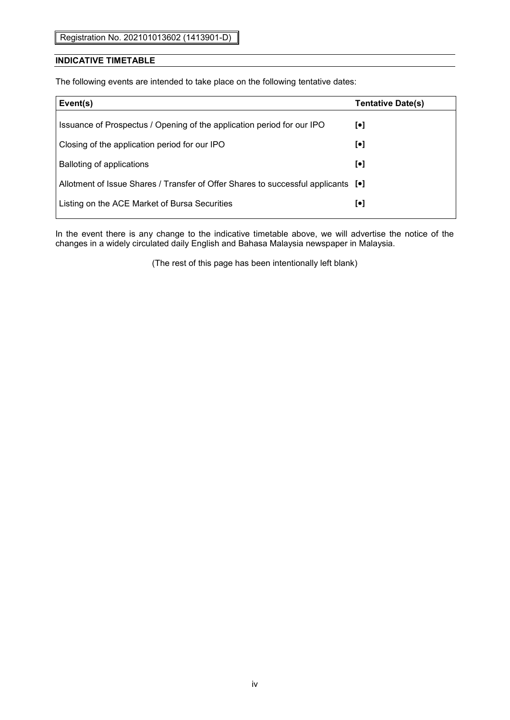#### **INDICATIVE TIMETABLE**

The following events are intended to take place on the following tentative dates:

| Event(s)                                                                                    | <b>Tentative Date(s)</b>  |
|---------------------------------------------------------------------------------------------|---------------------------|
| Issuance of Prospectus / Opening of the application period for our IPO                      | $\lbrack \bullet \rbrack$ |
| Closing of the application period for our IPO                                               | $\lbrack \bullet \rbrack$ |
| Balloting of applications                                                                   | $\lbrack \bullet \rbrack$ |
| Allotment of Issue Shares / Transfer of Offer Shares to successful applicants [ $\bullet$ ] |                           |
| Listing on the ACE Market of Bursa Securities                                               | $\lbrack \bullet \rbrack$ |

In the event there is any change to the indicative timetable above, we will advertise the notice of the changes in a widely circulated daily English and Bahasa Malaysia newspaper in Malaysia.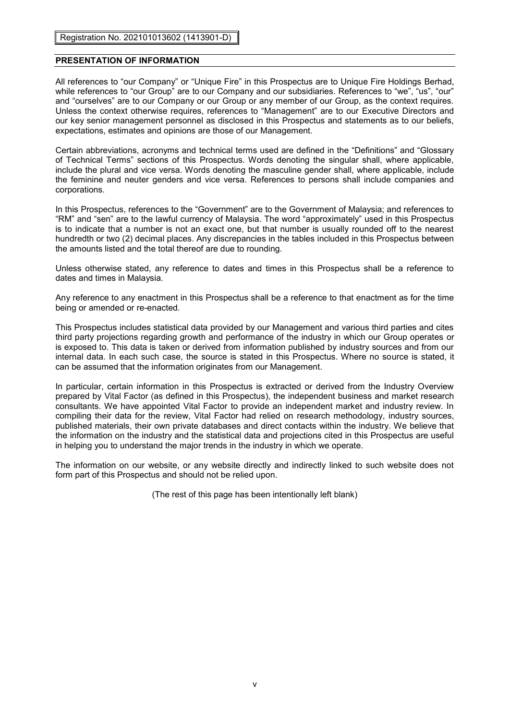#### **PRESENTATION OF INFORMATION**

All references to "our Company" or "Unique Fire" in this Prospectus are to Unique Fire Holdings Berhad, while references to "our Group" are to our Company and our subsidiaries. References to "we", "us", "our" and "ourselves" are to our Company or our Group or any member of our Group, as the context requires. Unless the context otherwise requires, references to "Management" are to our Executive Directors and our key senior management personnel as disclosed in this Prospectus and statements as to our beliefs, expectations, estimates and opinions are those of our Management.

Certain abbreviations, acronyms and technical terms used are defined in the "Definitions" and "Glossary of Technical Terms" sections of this Prospectus. Words denoting the singular shall, where applicable, include the plural and vice versa. Words denoting the masculine gender shall, where applicable, include the feminine and neuter genders and vice versa. References to persons shall include companies and corporations.

In this Prospectus, references to the "Government" are to the Government of Malaysia; and references to "RM" and "sen" are to the lawful currency of Malaysia. The word "approximately" used in this Prospectus is to indicate that a number is not an exact one, but that number is usually rounded off to the nearest hundredth or two (2) decimal places. Any discrepancies in the tables included in this Prospectus between the amounts listed and the total thereof are due to rounding.

Unless otherwise stated, any reference to dates and times in this Prospectus shall be a reference to dates and times in Malaysia.

Any reference to any enactment in this Prospectus shall be a reference to that enactment as for the time being or amended or re-enacted.

This Prospectus includes statistical data provided by our Management and various third parties and cites third party projections regarding growth and performance of the industry in which our Group operates or is exposed to. This data is taken or derived from information published by industry sources and from our internal data. In each such case, the source is stated in this Prospectus. Where no source is stated, it can be assumed that the information originates from our Management.

In particular, certain information in this Prospectus is extracted or derived from the Industry Overview prepared by Vital Factor (as defined in this Prospectus), the independent business and market research consultants. We have appointed Vital Factor to provide an independent market and industry review. In compiling their data for the review, Vital Factor had relied on research methodology, industry sources, published materials, their own private databases and direct contacts within the industry. We believe that the information on the industry and the statistical data and projections cited in this Prospectus are useful in helping you to understand the major trends in the industry in which we operate.

The information on our website, or any website directly and indirectly linked to such website does not form part of this Prospectus and should not be relied upon.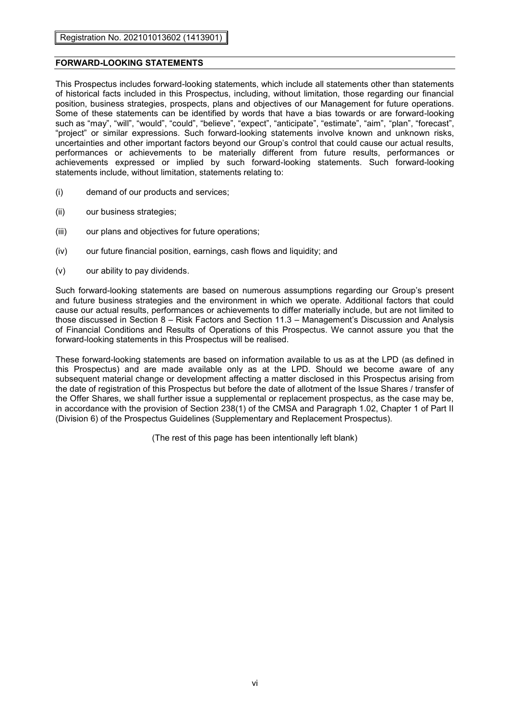### **FORWARD-LOOKING STATEMENTS**

This Prospectus includes forward-looking statements, which include all statements other than statements of historical facts included in this Prospectus, including, without limitation, those regarding our financial position, business strategies, prospects, plans and objectives of our Management for future operations. Some of these statements can be identified by words that have a bias towards or are forward-looking such as "may", "will", "would", "could", "believe", "expect", "anticipate", "estimate", "aim", "plan", "forecast", "project" or similar expressions. Such forward-looking statements involve known and unknown risks, uncertainties and other important factors beyond our Group's control that could cause our actual results, performances or achievements to be materially different from future results, performances or achievements expressed or implied by such forward-looking statements. Such forward-looking statements include, without limitation, statements relating to:

- (i) demand of our products and services;
- (ii) our business strategies;
- (iii) our plans and objectives for future operations;
- (iv) our future financial position, earnings, cash flows and liquidity; and
- (v) our ability to pay dividends.

Such forward-looking statements are based on numerous assumptions regarding our Group's present and future business strategies and the environment in which we operate. Additional factors that could cause our actual results, performances or achievements to differ materially include, but are not limited to those discussed in Section 8 – Risk Factors and Section 11.3 – Management's Discussion and Analysis of Financial Conditions and Results of Operations of this Prospectus. We cannot assure you that the forward-looking statements in this Prospectus will be realised.

These forward-looking statements are based on information available to us as at the LPD (as defined in this Prospectus) and are made available only as at the LPD. Should we become aware of any subsequent material change or development affecting a matter disclosed in this Prospectus arising from the date of registration of this Prospectus but before the date of allotment of the Issue Shares / transfer of the Offer Shares, we shall further issue a supplemental or replacement prospectus, as the case may be, in accordance with the provision of Section 238(1) of the CMSA and Paragraph 1.02, Chapter 1 of Part II (Division 6) of the Prospectus Guidelines (Supplementary and Replacement Prospectus).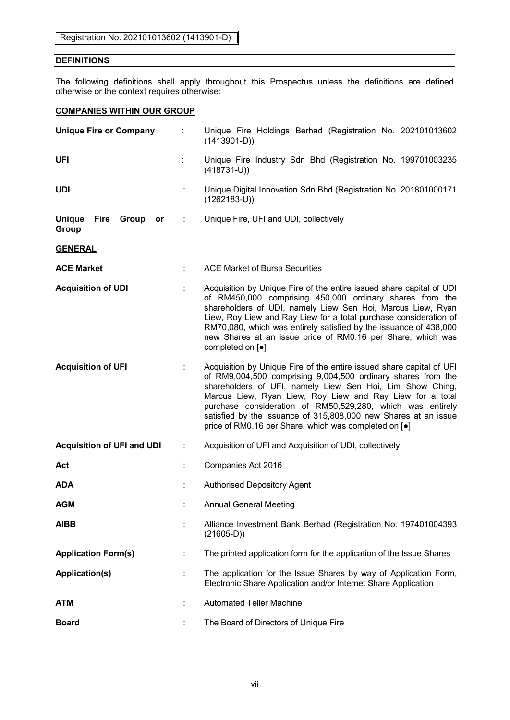### **DEFINITIONS**

The following definitions shall apply throughout this Prospectus unless the definitions are defined otherwise or the context requires otherwise:

#### **COMPANIES WITHIN OUR GROUP**

| <b>Unique Fire or Company</b>                 |   | Unique Fire Holdings Berhad (Registration No. 202101013602<br>$(1413901-D))$                                                                                                                                                                                                                                                                                                                                                                                       |
|-----------------------------------------------|---|--------------------------------------------------------------------------------------------------------------------------------------------------------------------------------------------------------------------------------------------------------------------------------------------------------------------------------------------------------------------------------------------------------------------------------------------------------------------|
| <b>UFI</b>                                    | ÷ | Unique Fire Industry Sdn Bhd (Registration No. 199701003235<br>$(418731-U))$                                                                                                                                                                                                                                                                                                                                                                                       |
| UDI                                           |   | Unique Digital Innovation Sdn Bhd (Registration No. 201801000171<br>$(1262183-U))$                                                                                                                                                                                                                                                                                                                                                                                 |
| <b>Unique</b><br>Fire<br>Group<br>or<br>Group |   | Unique Fire, UFI and UDI, collectively                                                                                                                                                                                                                                                                                                                                                                                                                             |
| <b>GENERAL</b>                                |   |                                                                                                                                                                                                                                                                                                                                                                                                                                                                    |
| <b>ACE Market</b>                             |   | <b>ACE Market of Bursa Securities</b>                                                                                                                                                                                                                                                                                                                                                                                                                              |
| <b>Acquisition of UDI</b>                     |   | Acquisition by Unique Fire of the entire issued share capital of UDI<br>of RM450,000 comprising 450,000 ordinary shares from the<br>shareholders of UDI, namely Liew Sen Hoi, Marcus Liew, Ryan<br>Liew, Roy Liew and Ray Liew for a total purchase consideration of<br>RM70,080, which was entirely satisfied by the issuance of 438,000<br>new Shares at an issue price of RM0.16 per Share, which was<br>completed on [ $\bullet$ ]                             |
| <b>Acquisition of UFI</b>                     |   | Acquisition by Unique Fire of the entire issued share capital of UFI<br>of RM9,004,500 comprising 9,004,500 ordinary shares from the<br>shareholders of UFI, namely Liew Sen Hoi, Lim Show Ching,<br>Marcus Liew, Ryan Liew, Roy Liew and Ray Liew for a total<br>purchase consideration of RM50,529,280, which was entirely<br>satisfied by the issuance of 315,808,000 new Shares at an issue<br>price of RM0.16 per Share, which was completed on [ $\bullet$ ] |
| <b>Acquisition of UFI and UDI</b>             | ÷ | Acquisition of UFI and Acquisition of UDI, collectively                                                                                                                                                                                                                                                                                                                                                                                                            |
| Act                                           |   | Companies Act 2016                                                                                                                                                                                                                                                                                                                                                                                                                                                 |
| <b>ADA</b>                                    |   | <b>Authorised Depository Agent</b>                                                                                                                                                                                                                                                                                                                                                                                                                                 |
| <b>AGM</b>                                    |   | <b>Annual General Meeting</b>                                                                                                                                                                                                                                                                                                                                                                                                                                      |
| <b>AIBB</b>                                   |   | Alliance Investment Bank Berhad (Registration No. 197401004393<br>$(21605-D))$                                                                                                                                                                                                                                                                                                                                                                                     |
| <b>Application Form(s)</b>                    |   | The printed application form for the application of the Issue Shares                                                                                                                                                                                                                                                                                                                                                                                               |
| <b>Application(s)</b>                         |   | The application for the Issue Shares by way of Application Form,<br>Electronic Share Application and/or Internet Share Application                                                                                                                                                                                                                                                                                                                                 |
| <b>ATM</b>                                    |   | <b>Automated Teller Machine</b>                                                                                                                                                                                                                                                                                                                                                                                                                                    |
| <b>Board</b>                                  |   | The Board of Directors of Unique Fire                                                                                                                                                                                                                                                                                                                                                                                                                              |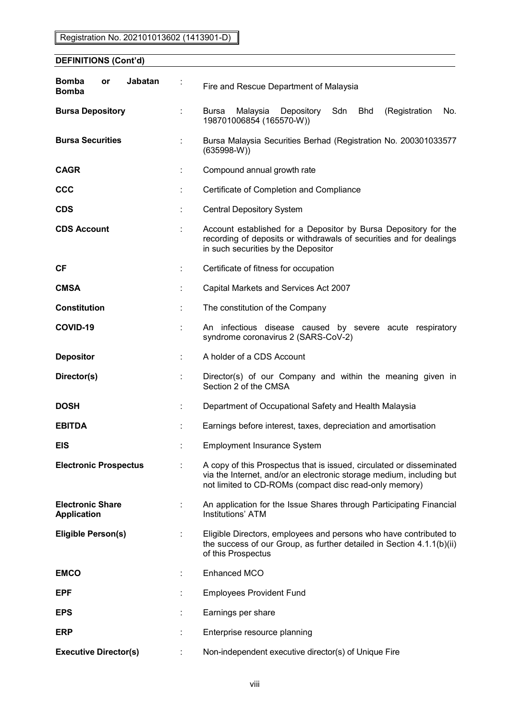### **DEFINITIONS (Cont'd)**

| <b>Bomba</b><br>or<br><b>Bomba</b>            | Jabatan |   | Fire and Rescue Department of Malaysia                                                                                                                                                                 |
|-----------------------------------------------|---------|---|--------------------------------------------------------------------------------------------------------------------------------------------------------------------------------------------------------|
| <b>Bursa Depository</b>                       |         |   | Malaysia<br>Depository<br>Sdn<br>Bhd<br>(Registration<br>No.<br>Bursa<br>198701006854 (165570-W))                                                                                                      |
| <b>Bursa Securities</b>                       |         | ÷ | Bursa Malaysia Securities Berhad (Registration No. 200301033577<br>$(635998-W)$                                                                                                                        |
| <b>CAGR</b>                                   |         | ÷ | Compound annual growth rate                                                                                                                                                                            |
| <b>CCC</b>                                    |         |   | Certificate of Completion and Compliance                                                                                                                                                               |
| <b>CDS</b>                                    |         |   | <b>Central Depository System</b>                                                                                                                                                                       |
| <b>CDS Account</b>                            |         |   | Account established for a Depositor by Bursa Depository for the<br>recording of deposits or withdrawals of securities and for dealings<br>in such securities by the Depositor                          |
| СF                                            |         | ÷ | Certificate of fitness for occupation                                                                                                                                                                  |
| <b>CMSA</b>                                   |         |   | Capital Markets and Services Act 2007                                                                                                                                                                  |
| <b>Constitution</b>                           |         |   | The constitution of the Company                                                                                                                                                                        |
| COVID-19                                      |         |   | An infectious disease caused by severe acute respiratory<br>syndrome coronavirus 2 (SARS-CoV-2)                                                                                                        |
| <b>Depositor</b>                              |         |   | A holder of a CDS Account                                                                                                                                                                              |
| Director(s)                                   |         |   | Director(s) of our Company and within the meaning given in<br>Section 2 of the CMSA                                                                                                                    |
| <b>DOSH</b>                                   |         |   | Department of Occupational Safety and Health Malaysia                                                                                                                                                  |
| <b>EBITDA</b>                                 |         |   | Earnings before interest, taxes, depreciation and amortisation                                                                                                                                         |
| <b>EIS</b>                                    |         |   | <b>Employment Insurance System</b>                                                                                                                                                                     |
| <b>Electronic Prospectus</b>                  |         |   | A copy of this Prospectus that is issued, circulated or disseminated<br>via the Internet, and/or an electronic storage medium, including but<br>not limited to CD-ROMs (compact disc read-only memory) |
| <b>Electronic Share</b><br><b>Application</b> |         |   | An application for the Issue Shares through Participating Financial<br>Institutions' ATM                                                                                                               |
| <b>Eligible Person(s)</b>                     |         |   | Eligible Directors, employees and persons who have contributed to<br>the success of our Group, as further detailed in Section 4.1.1(b)(ii)<br>of this Prospectus                                       |
| <b>EMCO</b>                                   |         |   | Enhanced MCO                                                                                                                                                                                           |
| EPF                                           |         |   | <b>Employees Provident Fund</b>                                                                                                                                                                        |
| <b>EPS</b>                                    |         |   | Earnings per share                                                                                                                                                                                     |
| <b>ERP</b>                                    |         |   | Enterprise resource planning                                                                                                                                                                           |
| <b>Executive Director(s)</b>                  |         |   | Non-independent executive director(s) of Unique Fire                                                                                                                                                   |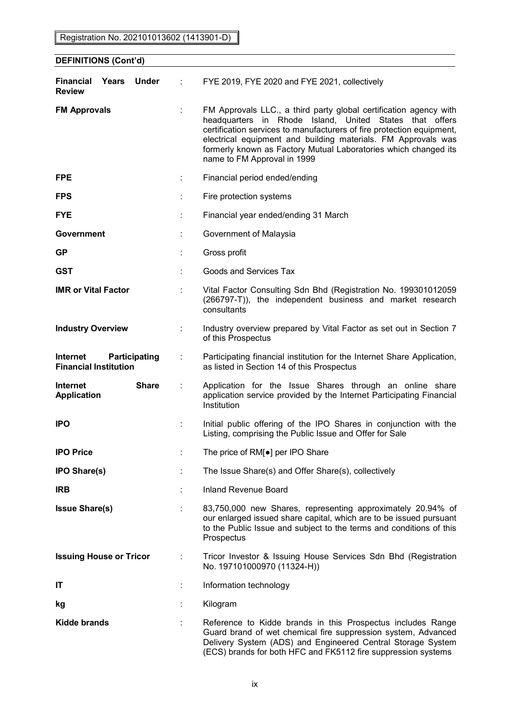# **DEFINITIONS (Cont'd) Financial Years Under Review** : FYE 2019, FYE 2020 and FYE 2021, collectively **FM Approvals** : FM Approvals LLC., a third party global certification agency with headquarters in Rhode Island, United States that offers certification services to manufacturers of fire protection equipment, electrical equipment and building materials. FM Approvals was formerly known as Factory Mutual Laboratories which changed its name to FM Approval in 1999 **FPE** The state of the Financial period ended/ending **FPS** : Fire protection systems **FYE** THE **FINALLY FINALLY FINALLY FINALLY FINALLY FINALLY FINALLY FINALLY FINALLY FINALLY FINALLY FINALLY FINALLY FINALLY FINALLY FINALLY FINALLY FINALLY FINALLY FINALLY FINALLY FINALLY FINALLY FINALLY FINALLY FINALLY FIN Government** : Government of Malaysia **GP** : Gross profit **GST**  $\qquad \qquad$  : Goods and Services Tax **IMR or Vital Factor** : Vital Factor Consulting Sdn Bhd (Registration No. 199301012059 (266797-T)), the independent business and market research consultants **Industry Overview : Industry overview prepared by Vital Factor as set out in Section 7** of this Prospectus **Internet Participating Financial Institution** : Participating financial institution for the Internet Share Application, as listed in Section 14 of this Prospectus **Internet Share Application** : Application for the Issue Shares through an online share application service provided by the Internet Participating Financial Institution **IPO** : Initial public offering of the IPO Shares in conjunction with the Listing, comprising the Public Issue and Offer for Sale **IPO Price** : The price of RM[●] per IPO Share **IPO Share(s)** : The Issue Share(s) and Offer Share(s), collectively **IRB inland Revenue Board Issue Share(s)** : 83,750,000 new Shares, representing approximately 20.94% of our enlarged issued share capital, which are to be issued pursuant to the Public Issue and subject to the terms and conditions of this **Prospectus Issuing House or Tricor** : Tricor Investor & Issuing House Services Sdn Bhd (Registration No. 197101000970 (11324-H)) **IT** information technology **kg** : Kilogram **Kidde brands** : Reference to Kidde brands in this Prospectus includes Range

Guard brand of wet chemical fire suppression system, Advanced Delivery System (ADS) and Engineered Central Storage System (ECS) brands for both HFC and FK5112 fire suppression systems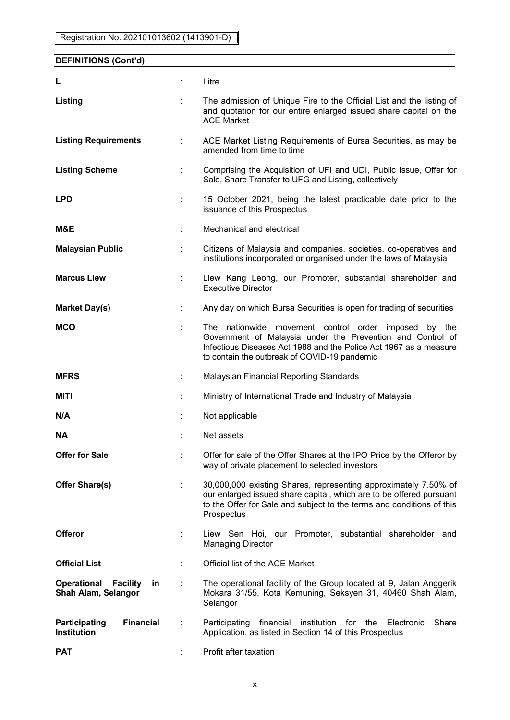| <b>DEFINITIONS (Cont'd)</b>                                               |    |                                                                                                                                                                                                                                         |
|---------------------------------------------------------------------------|----|-----------------------------------------------------------------------------------------------------------------------------------------------------------------------------------------------------------------------------------------|
| L                                                                         |    | Litre                                                                                                                                                                                                                                   |
| Listing                                                                   |    | The admission of Unique Fire to the Official List and the listing of<br>and quotation for our entire enlarged issued share capital on the<br><b>ACE Market</b>                                                                          |
| <b>Listing Requirements</b>                                               | ÷  | ACE Market Listing Requirements of Bursa Securities, as may be<br>amended from time to time                                                                                                                                             |
| <b>Listing Scheme</b>                                                     | t. | Comprising the Acquisition of UFI and UDI, Public Issue, Offer for<br>Sale, Share Transfer to UFG and Listing, collectively                                                                                                             |
| <b>LPD</b>                                                                | t. | 15 October 2021, being the latest practicable date prior to the<br>issuance of this Prospectus                                                                                                                                          |
| M&E                                                                       | ÷  | Mechanical and electrical                                                                                                                                                                                                               |
| <b>Malaysian Public</b>                                                   | t, | Citizens of Malaysia and companies, societies, co-operatives and<br>institutions incorporated or organised under the laws of Malaysia                                                                                                   |
| <b>Marcus Liew</b>                                                        | t  | Liew Kang Leong, our Promoter, substantial shareholder and<br><b>Executive Director</b>                                                                                                                                                 |
| <b>Market Day(s)</b>                                                      |    | Any day on which Bursa Securities is open for trading of securities                                                                                                                                                                     |
| <b>MCO</b>                                                                |    | The nationwide movement control order imposed by the<br>Government of Malaysia under the Prevention and Control of<br>Infectious Diseases Act 1988 and the Police Act 1967 as a measure<br>to contain the outbreak of COVID-19 pandemic |
| <b>MFRS</b>                                                               | ÷  | Malaysian Financial Reporting Standards                                                                                                                                                                                                 |
| MITI                                                                      |    | Ministry of International Trade and Industry of Malaysia                                                                                                                                                                                |
| N/A                                                                       |    | Not applicable                                                                                                                                                                                                                          |
| <b>NA</b>                                                                 |    | Net assets                                                                                                                                                                                                                              |
| <b>Offer for Sale</b>                                                     |    | Offer for sale of the Offer Shares at the IPO Price by the Offeror by<br>way of private placement to selected investors                                                                                                                 |
| Offer Share(s)                                                            | ÷  | 30,000,000 existing Shares, representing approximately 7.50% of<br>our enlarged issued share capital, which are to be offered pursuant<br>to the Offer for Sale and subject to the terms and conditions of this<br>Prospectus           |
| <b>Offeror</b>                                                            | ÷  | Liew Sen Hoi, our Promoter, substantial shareholder and<br><b>Managing Director</b>                                                                                                                                                     |
| <b>Official List</b>                                                      | t  | Official list of the ACE Market                                                                                                                                                                                                         |
| <b>Operational</b><br><b>Facility</b><br>in<br><b>Shah Alam, Selangor</b> |    | The operational facility of the Group located at 9, Jalan Anggerik<br>Mokara 31/55, Kota Kemuning, Seksyen 31, 40460 Shah Alam,<br>Selangor                                                                                             |
| <b>Financial</b><br><b>Participating</b><br><b>Institution</b>            | ÷  | Participating<br>financial institution for the<br>Share<br>Electronic<br>Application, as listed in Section 14 of this Prospectus                                                                                                        |
| <b>PAT</b>                                                                |    | Profit after taxation                                                                                                                                                                                                                   |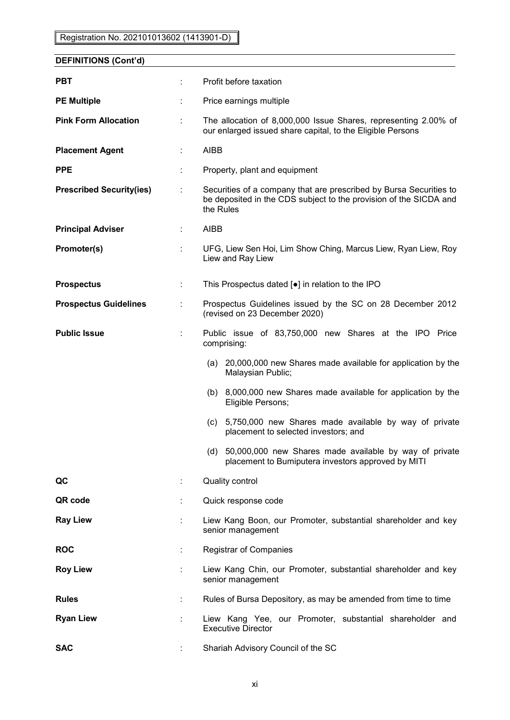| <b>DEFINITIONS (Cont'd)</b> |  |
|-----------------------------|--|
|-----------------------------|--|

| <b>PBT</b>                      |   | Profit before taxation                                                                                                                               |
|---------------------------------|---|------------------------------------------------------------------------------------------------------------------------------------------------------|
| <b>PE Multiple</b>              | ÷ | Price earnings multiple                                                                                                                              |
| <b>Pink Form Allocation</b>     | ÷ | The allocation of 8,000,000 Issue Shares, representing 2.00% of<br>our enlarged issued share capital, to the Eligible Persons                        |
| <b>Placement Agent</b>          | ÷ | <b>AIBB</b>                                                                                                                                          |
| <b>PPE</b>                      | ÷ | Property, plant and equipment                                                                                                                        |
| <b>Prescribed Security(ies)</b> | ÷ | Securities of a company that are prescribed by Bursa Securities to<br>be deposited in the CDS subject to the provision of the SICDA and<br>the Rules |
| <b>Principal Adviser</b>        |   | <b>AIBB</b>                                                                                                                                          |
| Promoter(s)                     |   | UFG, Liew Sen Hoi, Lim Show Ching, Marcus Liew, Ryan Liew, Roy<br>Liew and Ray Liew                                                                  |
| <b>Prospectus</b>               | ÷ | This Prospectus dated [ $\bullet$ ] in relation to the IPO                                                                                           |
| <b>Prospectus Guidelines</b>    | ÷ | Prospectus Guidelines issued by the SC on 28 December 2012<br>(revised on 23 December 2020)                                                          |
| <b>Public Issue</b>             |   | Public issue of 83,750,000 new Shares at the IPO Price<br>comprising:                                                                                |
|                                 |   | (a) 20,000,000 new Shares made available for application by the<br>Malaysian Public;                                                                 |
|                                 |   | (b) 8,000,000 new Shares made available for application by the<br>Eligible Persons;                                                                  |
|                                 |   | (c) 5,750,000 new Shares made available by way of private<br>placement to selected investors; and                                                    |
|                                 |   | (d) 50,000,000 new Shares made available by way of private<br>placement to Bumiputera investors approved by MITI                                     |
| QC                              | ÷ | <b>Quality control</b>                                                                                                                               |
| QR code                         |   | Quick response code                                                                                                                                  |
| <b>Ray Liew</b>                 | ÷ | Liew Kang Boon, our Promoter, substantial shareholder and key<br>senior management                                                                   |
| <b>ROC</b>                      | ÷ | <b>Registrar of Companies</b>                                                                                                                        |
| <b>Roy Liew</b>                 | ÷ | Liew Kang Chin, our Promoter, substantial shareholder and key<br>senior management                                                                   |
| <b>Rules</b>                    | ÷ | Rules of Bursa Depository, as may be amended from time to time                                                                                       |
| <b>Ryan Liew</b>                |   | Liew Kang Yee, our Promoter, substantial shareholder and<br><b>Executive Director</b>                                                                |
| <b>SAC</b>                      |   | Shariah Advisory Council of the SC                                                                                                                   |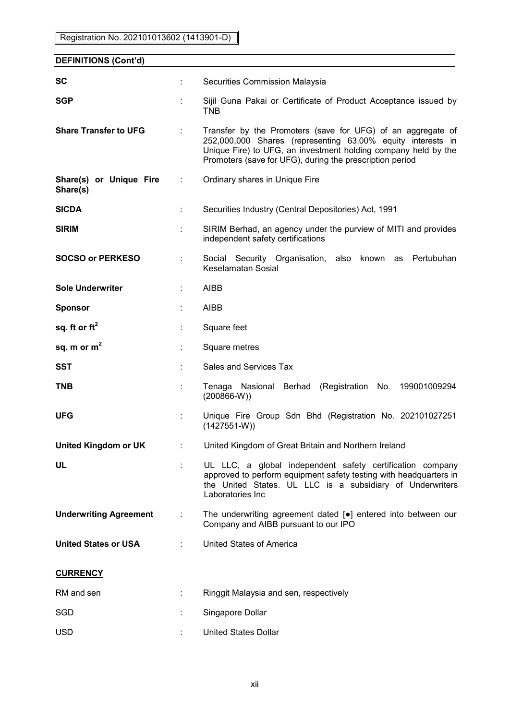**DEFINITIONS (Cont'd) SC** : Securities Commission Malaysia **SGP SIGNER S** Sijil Guna Pakai or Certificate of Product Acceptance issued by TNB **Share Transfer to UFG** : Transfer by the Promoters (save for UFG) of an aggregate of 252,000,000 Shares (representing 63.00% equity interests in Unique Fire) to UFG, an investment holding company held by the Promoters (save for UFG), during the prescription period **Share(s) or Unique Fire Share(s)** : Ordinary shares in Unique Fire **SICDA** : Securities Industry (Central Depositories) Act, 1991 **SIRIM** : SIRIM Berhad, an agency under the purview of MITI and provides independent safety certifications **SOCSO or PERKESO** : Social Security Organisation, also known as Pertubuhan Keselamatan Sosial **Sole Underwriter** : AIBB **Sponsor** : AIBB **sq. ft or ft<sup>2</sup>** : Square feet **sq. m or m<sup>2</sup>** : Square metres **SST**  $\qquad \qquad$  : Sales and Services Tax **TNB** : Tenaga Nasional Berhad (Registration No. 199001009294 (200866-W)) **UFG** : Unique Fire Group Sdn Bhd (Registration No. 202101027251 (1427551-W)) **United Kingdom or UK** : United Kingdom of Great Britain and Northern Ireland **UL** : UL LLC, a global independent safety certification company approved to perform equipment safety testing with headquarters in the United States. UL LLC is a subsidiary of Underwriters Laboratories Inc **Underwriting Agreement** : The underwriting agreement dated [●] entered into between our Company and AIBB pursuant to our IPO **United States or USA** : United States of America **CURRENCY** RM and sen : Ringgit Malaysia and sen, respectively SGD : Singapore Dollar USD **:** United States Dollar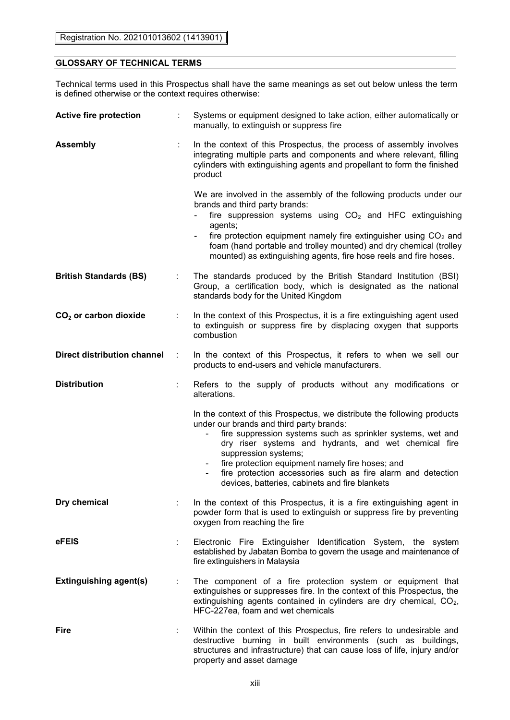### **GLOSSARY OF TECHNICAL TERMS**

Technical terms used in this Prospectus shall have the same meanings as set out below unless the term is defined otherwise or the context requires otherwise:

| <b>Active fire protection</b>      | ÷         | Systems or equipment designed to take action, either automatically or<br>manually, to extinguish or suppress fire                                                                                                                                                                                                                                                                                                                         |
|------------------------------------|-----------|-------------------------------------------------------------------------------------------------------------------------------------------------------------------------------------------------------------------------------------------------------------------------------------------------------------------------------------------------------------------------------------------------------------------------------------------|
| <b>Assembly</b>                    |           | In the context of this Prospectus, the process of assembly involves<br>integrating multiple parts and components and where relevant, filling<br>cylinders with extinguishing agents and propellant to form the finished<br>product                                                                                                                                                                                                        |
|                                    |           | We are involved in the assembly of the following products under our<br>brands and third party brands:<br>fire suppression systems using $CO2$ and HFC extinguishing<br>agents;<br>fire protection equipment namely fire extinguisher using $CO2$ and<br>foam (hand portable and trolley mounted) and dry chemical (trolley<br>mounted) as extinguishing agents, fire hose reels and fire hoses.                                           |
| <b>British Standards (BS)</b>      | ÷         | The standards produced by the British Standard Institution (BSI)<br>Group, a certification body, which is designated as the national<br>standards body for the United Kingdom                                                                                                                                                                                                                                                             |
| $CO2$ or carbon dioxide            |           | In the context of this Prospectus, it is a fire extinguishing agent used<br>to extinguish or suppress fire by displacing oxygen that supports<br>combustion                                                                                                                                                                                                                                                                               |
| <b>Direct distribution channel</b> | $\sim 10$ | In the context of this Prospectus, it refers to when we sell our<br>products to end-users and vehicle manufacturers.                                                                                                                                                                                                                                                                                                                      |
| <b>Distribution</b>                |           | Refers to the supply of products without any modifications or<br>alterations.                                                                                                                                                                                                                                                                                                                                                             |
|                                    |           | In the context of this Prospectus, we distribute the following products<br>under our brands and third party brands:<br>fire suppression systems such as sprinkler systems, wet and<br>dry riser systems and hydrants, and wet chemical fire<br>suppression systems;<br>fire protection equipment namely fire hoses; and<br>fire protection accessories such as fire alarm and detection<br>devices, batteries, cabinets and fire blankets |
| Dry chemical                       |           | In the context of this Prospectus, it is a fire extinguishing agent in<br>powder form that is used to extinguish or suppress fire by preventing<br>oxygen from reaching the fire                                                                                                                                                                                                                                                          |
| eFEIS                              | ÷         | Electronic Fire Extinguisher Identification System, the system<br>established by Jabatan Bomba to govern the usage and maintenance of<br>fire extinguishers in Malaysia                                                                                                                                                                                                                                                                   |
| <b>Extinguishing agent(s)</b>      | ÷         | The component of a fire protection system or equipment that<br>extinguishes or suppresses fire. In the context of this Prospectus, the<br>extinguishing agents contained in cylinders are dry chemical, $CO2$ ,<br>HFC-227ea, foam and wet chemicals                                                                                                                                                                                      |
| <b>Fire</b>                        |           | Within the context of this Prospectus, fire refers to undesirable and<br>destructive burning in built environments (such as buildings,<br>structures and infrastructure) that can cause loss of life, injury and/or<br>property and asset damage                                                                                                                                                                                          |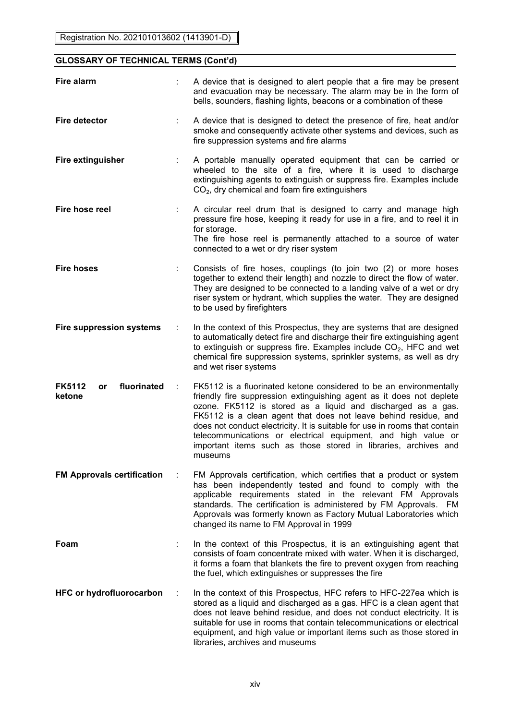### **GLOSSARY OF TECHNICAL TERMS (Cont'd)**

| Fire alarm                                   |   | A device that is designed to alert people that a fire may be present<br>and evacuation may be necessary. The alarm may be in the form of<br>bells, sounders, flashing lights, beacons or a combination of these                                                                                                                                                                                                                                                                                            |
|----------------------------------------------|---|------------------------------------------------------------------------------------------------------------------------------------------------------------------------------------------------------------------------------------------------------------------------------------------------------------------------------------------------------------------------------------------------------------------------------------------------------------------------------------------------------------|
| <b>Fire detector</b>                         | ÷ | A device that is designed to detect the presence of fire, heat and/or<br>smoke and consequently activate other systems and devices, such as<br>fire suppression systems and fire alarms                                                                                                                                                                                                                                                                                                                    |
| <b>Fire extinguisher</b>                     |   | A portable manually operated equipment that can be carried or<br>wheeled to the site of a fire, where it is used to discharge<br>extinguishing agents to extinguish or suppress fire. Examples include<br>$CO2$ , dry chemical and foam fire extinguishers                                                                                                                                                                                                                                                 |
| Fire hose reel                               |   | A circular reel drum that is designed to carry and manage high<br>pressure fire hose, keeping it ready for use in a fire, and to reel it in<br>for storage.<br>The fire hose reel is permanently attached to a source of water<br>connected to a wet or dry riser system                                                                                                                                                                                                                                   |
| <b>Fire hoses</b>                            | ÷ | Consists of fire hoses, couplings (to join two (2) or more hoses<br>together to extend their length) and nozzle to direct the flow of water.<br>They are designed to be connected to a landing valve of a wet or dry<br>riser system or hydrant, which supplies the water. They are designed<br>to be used by firefighters                                                                                                                                                                                 |
| <b>Fire suppression systems</b>              |   | In the context of this Prospectus, they are systems that are designed<br>to automatically detect fire and discharge their fire extinguishing agent<br>to extinguish or suppress fire. Examples include $CO2$ , HFC and wet<br>chemical fire suppression systems, sprinkler systems, as well as dry<br>and wet riser systems                                                                                                                                                                                |
| fluorinated<br><b>FK5112</b><br>or<br>ketone |   | FK5112 is a fluorinated ketone considered to be an environmentally<br>friendly fire suppression extinguishing agent as it does not deplete<br>ozone. FK5112 is stored as a liquid and discharged as a gas.<br>FK5112 is a clean agent that does not leave behind residue, and<br>does not conduct electricity. It is suitable for use in rooms that contain<br>telecommunications or electrical equipment, and high value or<br>important items such as those stored in libraries, archives and<br>museums |
| <b>FM Approvals certification</b>            |   | FM Approvals certification, which certifies that a product or system<br>has been independently tested and found to comply with the<br>applicable requirements stated in the relevant FM Approvals<br>standards. The certification is administered by FM Approvals. FM<br>Approvals was formerly known as Factory Mutual Laboratories which<br>changed its name to FM Approval in 1999                                                                                                                      |
| Foam                                         |   | In the context of this Prospectus, it is an extinguishing agent that<br>consists of foam concentrate mixed with water. When it is discharged,<br>it forms a foam that blankets the fire to prevent oxygen from reaching<br>the fuel, which extinguishes or suppresses the fire                                                                                                                                                                                                                             |
| <b>HFC or hydrofluorocarbon</b>              | ÷ | In the context of this Prospectus, HFC refers to HFC-227ea which is<br>stored as a liquid and discharged as a gas. HFC is a clean agent that<br>does not leave behind residue, and does not conduct electricity. It is<br>suitable for use in rooms that contain telecommunications or electrical<br>equipment, and high value or important items such as those stored in<br>libraries, archives and museums                                                                                               |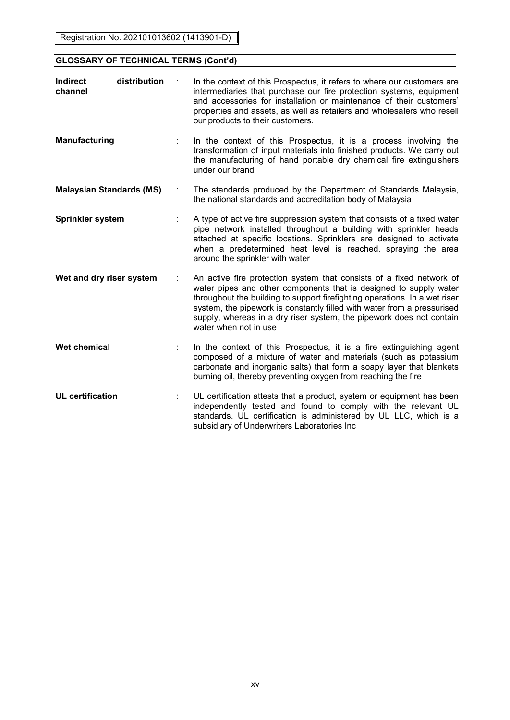## **GLOSSARY OF TECHNICAL TERMS (Cont'd)**

| <b>Indirect</b><br>channel      | distribution |   | In the context of this Prospectus, it refers to where our customers are<br>intermediaries that purchase our fire protection systems, equipment<br>and accessories for installation or maintenance of their customers'<br>properties and assets, as well as retailers and wholesalers who resell<br>our products to their customers.                                                                 |
|---------------------------------|--------------|---|-----------------------------------------------------------------------------------------------------------------------------------------------------------------------------------------------------------------------------------------------------------------------------------------------------------------------------------------------------------------------------------------------------|
| Manufacturing                   |              |   | In the context of this Prospectus, it is a process involving the<br>transformation of input materials into finished products. We carry out<br>the manufacturing of hand portable dry chemical fire extinguishers<br>under our brand                                                                                                                                                                 |
| <b>Malaysian Standards (MS)</b> |              | ÷ | The standards produced by the Department of Standards Malaysia,<br>the national standards and accreditation body of Malaysia                                                                                                                                                                                                                                                                        |
| <b>Sprinkler system</b>         |              |   | A type of active fire suppression system that consists of a fixed water<br>pipe network installed throughout a building with sprinkler heads<br>attached at specific locations. Sprinklers are designed to activate<br>when a predetermined heat level is reached, spraying the area<br>around the sprinkler with water                                                                             |
| Wet and dry riser system        |              |   | An active fire protection system that consists of a fixed network of<br>water pipes and other components that is designed to supply water<br>throughout the building to support firefighting operations. In a wet riser<br>system, the pipework is constantly filled with water from a pressurised<br>supply, whereas in a dry riser system, the pipework does not contain<br>water when not in use |
| Wet chemical                    |              |   | In the context of this Prospectus, it is a fire extinguishing agent<br>composed of a mixture of water and materials (such as potassium<br>carbonate and inorganic salts) that form a soapy layer that blankets<br>burning oil, thereby preventing oxygen from reaching the fire                                                                                                                     |
| <b>UL</b> certification         |              |   | UL certification attests that a product, system or equipment has been<br>independently tested and found to comply with the relevant UL<br>standards. UL certification is administered by UL LLC, which is a<br>subsidiary of Underwriters Laboratories Inc                                                                                                                                          |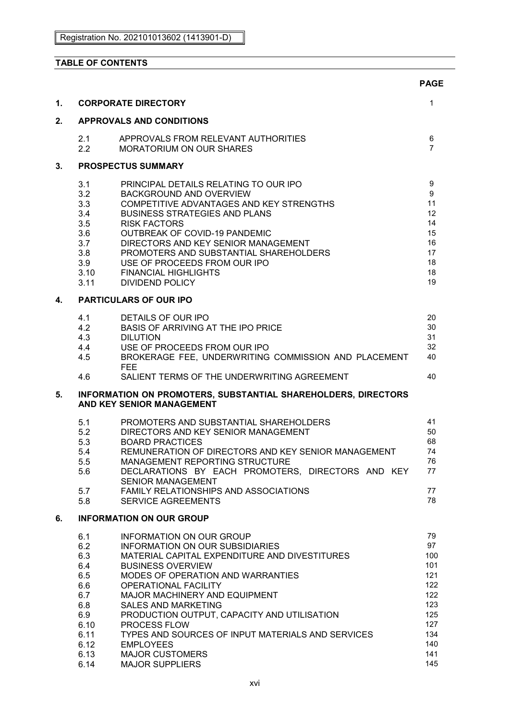# **TABLE OF CONTENTS**

|               |                                                                                                     |                                                                                                                                                                                                                                                                                                                                                                                                                                                                                       | <b>PAGE</b>                                                                                  |
|---------------|-----------------------------------------------------------------------------------------------------|---------------------------------------------------------------------------------------------------------------------------------------------------------------------------------------------------------------------------------------------------------------------------------------------------------------------------------------------------------------------------------------------------------------------------------------------------------------------------------------|----------------------------------------------------------------------------------------------|
| $\mathbf 1$ . |                                                                                                     | <b>CORPORATE DIRECTORY</b>                                                                                                                                                                                                                                                                                                                                                                                                                                                            | 1                                                                                            |
| 2.            |                                                                                                     | <b>APPROVALS AND CONDITIONS</b>                                                                                                                                                                                                                                                                                                                                                                                                                                                       |                                                                                              |
|               | 2.1<br>2.2                                                                                          | APPROVALS FROM RELEVANT AUTHORITIES<br><b>MORATORIUM ON OUR SHARES</b>                                                                                                                                                                                                                                                                                                                                                                                                                | 6<br>$\overline{7}$                                                                          |
| 3.            |                                                                                                     | <b>PROSPECTUS SUMMARY</b>                                                                                                                                                                                                                                                                                                                                                                                                                                                             |                                                                                              |
|               | 3.1<br>3.2<br>3.3<br>3.4<br>3.5<br>3.6<br>3.7<br>3.8<br>3.9<br>3.10<br>3.11                         | PRINCIPAL DETAILS RELATING TO OUR IPO<br><b>BACKGROUND AND OVERVIEW</b><br>COMPETITIVE ADVANTAGES AND KEY STRENGTHS<br><b>BUSINESS STRATEGIES AND PLANS</b><br><b>RISK FACTORS</b><br>OUTBREAK OF COVID-19 PANDEMIC<br>DIRECTORS AND KEY SENIOR MANAGEMENT<br>PROMOTERS AND SUBSTANTIAL SHAREHOLDERS<br>USE OF PROCEEDS FROM OUR IPO<br><b>FINANCIAL HIGHLIGHTS</b><br><b>DIVIDEND POLICY</b>                                                                                         | 9<br>9<br>11<br>12<br>14<br>15<br>16<br>17<br>18<br>18<br>19                                 |
| 4.            |                                                                                                     | <b>PARTICULARS OF OUR IPO</b>                                                                                                                                                                                                                                                                                                                                                                                                                                                         |                                                                                              |
|               | 4.1<br>4.2<br>4.3<br>4.4<br>4.5<br>4.6                                                              | DETAILS OF OUR IPO<br>BASIS OF ARRIVING AT THE IPO PRICE<br><b>DILUTION</b><br>USE OF PROCEEDS FROM OUR IPO<br>BROKERAGE FEE, UNDERWRITING COMMISSION AND PLACEMENT<br><b>FEE</b><br>SALIENT TERMS OF THE UNDERWRITING AGREEMENT                                                                                                                                                                                                                                                      | 20<br>30<br>31<br>32<br>40<br>40                                                             |
| 5.            |                                                                                                     | INFORMATION ON PROMOTERS, SUBSTANTIAL SHAREHOLDERS, DIRECTORS<br><b>AND KEY SENIOR MANAGEMENT</b>                                                                                                                                                                                                                                                                                                                                                                                     |                                                                                              |
|               | 5.1<br>5.2<br>5.3<br>5.4<br>5.5<br>5.6<br>5.7                                                       | PROMOTERS AND SUBSTANTIAL SHAREHOLDERS<br>DIRECTORS AND KEY SENIOR MANAGEMENT<br><b>BOARD PRACTICES</b><br>REMUNERATION OF DIRECTORS AND KEY SENIOR MANAGEMENT<br>MANAGEMENT REPORTING STRUCTURE<br>DECLARATIONS BY EACH PROMOTERS, DIRECTORS AND KEY<br><b>SENIOR MANAGEMENT</b><br>FAMILY RELATIONSHIPS AND ASSOCIATIONS                                                                                                                                                            | 41<br>50<br>68<br>74<br>76<br>77<br>77                                                       |
| 6.            | 5.8                                                                                                 | <b>SERVICE AGREEMENTS</b><br><b>INFORMATION ON OUR GROUP</b>                                                                                                                                                                                                                                                                                                                                                                                                                          | 78                                                                                           |
|               | 6.1<br>6.2<br>6.3<br>6.4<br>6.5<br>6.6<br>6.7<br>6.8<br>6.9<br>6.10<br>6.11<br>6.12<br>6.13<br>6.14 | <b>INFORMATION ON OUR GROUP</b><br><b>INFORMATION ON OUR SUBSIDIARIES</b><br>MATERIAL CAPITAL EXPENDITURE AND DIVESTITURES<br><b>BUSINESS OVERVIEW</b><br>MODES OF OPERATION AND WARRANTIES<br><b>OPERATIONAL FACILITY</b><br>MAJOR MACHINERY AND EQUIPMENT<br><b>SALES AND MARKETING</b><br>PRODUCTION OUTPUT, CAPACITY AND UTILISATION<br>PROCESS FLOW<br>TYPES AND SOURCES OF INPUT MATERIALS AND SERVICES<br><b>EMPLOYEES</b><br><b>MAJOR CUSTOMERS</b><br><b>MAJOR SUPPLIERS</b> | 79<br>97<br>100<br>101<br>121<br>122<br>122<br>123<br>125<br>127<br>134<br>140<br>141<br>145 |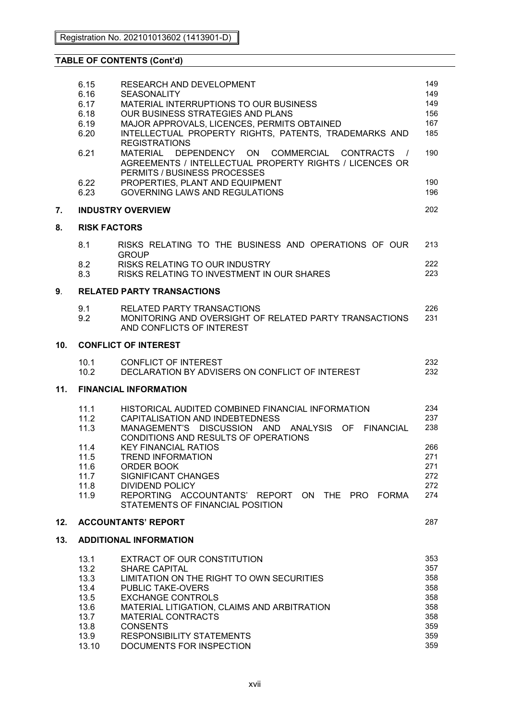### **TABLE OF CONTENTS (Cont'd)**

| 6.15<br>6.16<br>6.17<br>6.18<br>6.19<br>6.20<br>6.21                 | RESEARCH AND DEVELOPMENT<br><b>SEASONALITY</b><br>MATERIAL INTERRUPTIONS TO OUR BUSINESS<br>OUR BUSINESS STRATEGIES AND PLANS<br>MAJOR APPROVALS, LICENCES, PERMITS OBTAINED<br>INTELLECTUAL PROPERTY RIGHTS, PATENTS, TRADEMARKS AND<br><b>REGISTRATIONS</b><br>MATERIAL DEPENDENCY ON<br>COMMERCIAL<br><b>CONTRACTS</b><br>$\frac{1}{2}$<br>AGREEMENTS / INTELLECTUAL PROPERTY RIGHTS / LICENCES OR<br>PERMITS / BUSINESS PROCESSES | 149<br>149<br>149<br>156<br>167<br>185<br>190<br>190                                                                                                                                                                                                                                                                                                                    |  |  |  |  |  |
|----------------------------------------------------------------------|---------------------------------------------------------------------------------------------------------------------------------------------------------------------------------------------------------------------------------------------------------------------------------------------------------------------------------------------------------------------------------------------------------------------------------------|-------------------------------------------------------------------------------------------------------------------------------------------------------------------------------------------------------------------------------------------------------------------------------------------------------------------------------------------------------------------------|--|--|--|--|--|
| 6.23                                                                 | <b>GOVERNING LAWS AND REGULATIONS</b>                                                                                                                                                                                                                                                                                                                                                                                                 | 196                                                                                                                                                                                                                                                                                                                                                                     |  |  |  |  |  |
|                                                                      |                                                                                                                                                                                                                                                                                                                                                                                                                                       | 202                                                                                                                                                                                                                                                                                                                                                                     |  |  |  |  |  |
|                                                                      |                                                                                                                                                                                                                                                                                                                                                                                                                                       |                                                                                                                                                                                                                                                                                                                                                                         |  |  |  |  |  |
| 8.1                                                                  | RISKS RELATING TO THE BUSINESS AND OPERATIONS OF OUR<br><b>GROUP</b>                                                                                                                                                                                                                                                                                                                                                                  | 213                                                                                                                                                                                                                                                                                                                                                                     |  |  |  |  |  |
| 8.3                                                                  | RISKS RELATING TO INVESTMENT IN OUR SHARES                                                                                                                                                                                                                                                                                                                                                                                            | 222<br>223                                                                                                                                                                                                                                                                                                                                                              |  |  |  |  |  |
|                                                                      |                                                                                                                                                                                                                                                                                                                                                                                                                                       |                                                                                                                                                                                                                                                                                                                                                                         |  |  |  |  |  |
| 9.1<br>9.2                                                           | RELATED PARTY TRANSACTIONS<br>MONITORING AND OVERSIGHT OF RELATED PARTY TRANSACTIONS<br>AND CONFLICTS OF INTEREST                                                                                                                                                                                                                                                                                                                     | 226<br>231                                                                                                                                                                                                                                                                                                                                                              |  |  |  |  |  |
| <b>CONFLICT OF INTEREST</b><br>10.                                   |                                                                                                                                                                                                                                                                                                                                                                                                                                       |                                                                                                                                                                                                                                                                                                                                                                         |  |  |  |  |  |
| 10.1<br>10.2                                                         | <b>CONFLICT OF INTEREST</b><br>DECLARATION BY ADVISERS ON CONFLICT OF INTEREST                                                                                                                                                                                                                                                                                                                                                        | 232<br>232                                                                                                                                                                                                                                                                                                                                                              |  |  |  |  |  |
| <b>FINANCIAL INFORMATION</b>                                         |                                                                                                                                                                                                                                                                                                                                                                                                                                       |                                                                                                                                                                                                                                                                                                                                                                         |  |  |  |  |  |
| 11.1<br>11.2<br>11.3                                                 | HISTORICAL AUDITED COMBINED FINANCIAL INFORMATION<br>CAPITALISATION AND INDEBTEDNESS<br>MANAGEMENT'S DISCUSSION AND ANALYSIS<br><b>FINANCIAL</b><br>OF.<br>CONDITIONS AND RESULTS OF OPERATIONS                                                                                                                                                                                                                                       | 234<br>237<br>238                                                                                                                                                                                                                                                                                                                                                       |  |  |  |  |  |
| 11.4                                                                 |                                                                                                                                                                                                                                                                                                                                                                                                                                       | 266<br>271                                                                                                                                                                                                                                                                                                                                                              |  |  |  |  |  |
| 11.6                                                                 | ORDER BOOK                                                                                                                                                                                                                                                                                                                                                                                                                            | 271                                                                                                                                                                                                                                                                                                                                                                     |  |  |  |  |  |
|                                                                      |                                                                                                                                                                                                                                                                                                                                                                                                                                       | 272<br>272                                                                                                                                                                                                                                                                                                                                                              |  |  |  |  |  |
| 11.9                                                                 | REPORTING ACCOUNTANTS' REPORT<br>ON<br>THE<br>PRO FORMA<br>STATEMENTS OF FINANCIAL POSITION                                                                                                                                                                                                                                                                                                                                           | 274                                                                                                                                                                                                                                                                                                                                                                     |  |  |  |  |  |
|                                                                      |                                                                                                                                                                                                                                                                                                                                                                                                                                       | 287                                                                                                                                                                                                                                                                                                                                                                     |  |  |  |  |  |
|                                                                      |                                                                                                                                                                                                                                                                                                                                                                                                                                       |                                                                                                                                                                                                                                                                                                                                                                         |  |  |  |  |  |
| 13.1<br>13.2<br>13.3<br>13.4<br>13.5<br>13.6<br>13.7<br>13.8<br>13.9 | EXTRACT OF OUR CONSTITUTION<br><b>SHARE CAPITAL</b><br>LIMITATION ON THE RIGHT TO OWN SECURITIES<br><b>PUBLIC TAKE-OVERS</b><br><b>EXCHANGE CONTROLS</b><br>MATERIAL LITIGATION, CLAIMS AND ARBITRATION<br><b>MATERIAL CONTRACTS</b><br><b>CONSENTS</b><br><b>RESPONSIBILITY STATEMENTS</b>                                                                                                                                           | 353<br>357<br>358<br>358<br>358<br>358<br>358<br>359<br>359<br>359                                                                                                                                                                                                                                                                                                      |  |  |  |  |  |
|                                                                      | 6.22<br>8.2<br>11.5<br>11.7<br>11.8<br>13.10                                                                                                                                                                                                                                                                                                                                                                                          | PROPERTIES, PLANT AND EQUIPMENT<br><b>INDUSTRY OVERVIEW</b><br><b>RISK FACTORS</b><br><b>RISKS RELATING TO OUR INDUSTRY</b><br><b>RELATED PARTY TRANSACTIONS</b><br><b>KEY FINANCIAL RATIOS</b><br><b>TREND INFORMATION</b><br>SIGNIFICANT CHANGES<br><b>DIVIDEND POLICY</b><br><b>ACCOUNTANTS' REPORT</b><br><b>ADDITIONAL INFORMATION</b><br>DOCUMENTS FOR INSPECTION |  |  |  |  |  |